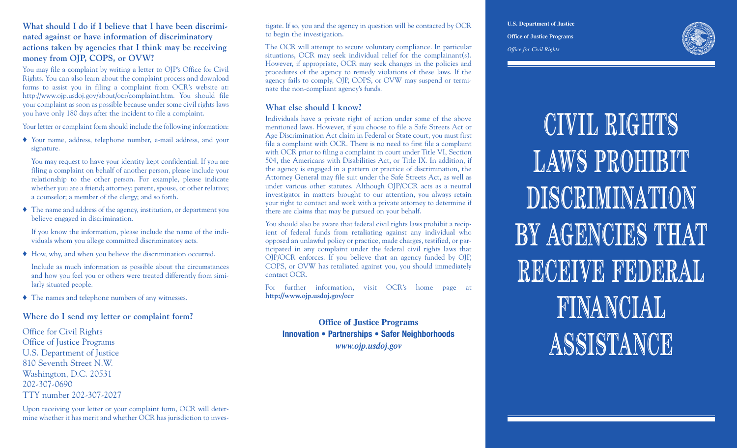## **What should I do if I believe that I have been discriminated against or have information of discriminatory actions taken by agencies that I think may be receiving money from OJP, COPS, or OVW?**

You may file a complaint by writing a letter to OJP's Office for Civil Rights. You can also learn about the complaint process and download forms to assist you in filing a complaint from OCR's website at: http://www.ojp.usdoj.gov/about/ocr/complaint.htm. You should file your complaint as soon as possible because under some civil rights laws you have only 180 days after the incident to file a complaint.

Your letter or complaint form should include the following information:

♦ Your name, address, telephone number, e-mail address, and your signature.

You may request to have your identity kept confidential. If you are filing a complaint on behalf of another person, please include your relationship to the other person. For example, please indicate whether you are a friend; attorney; parent, spouse, or other relative; a counselor; a member of the clergy; and so forth.

♦ The name and address of the agency, institution, or department you believe engaged in discrimination.

If you know the information, please include the name of the individuals whom you allege committed discriminatory acts.

♦ How, why, and when you believe the discrimination occurred.

Include as much information as possible about the circumstances and how you feel you or others were treated differently from similarly situated people.

♦ The names and telephone numbers of any witnesses.

#### **Where do I send my letter or complaint form?**

Office for Civil Rights Office of Justice Programs U.S. Department of Justice 810 Seventh Street N.W. Washington, D.C. 20531 202-307-0690 TTY number 202-307-2027

Upon receiving your letter or your complaint form, OCR will determine whether it has merit and whether OCR has jurisdiction to investigate. If so, you and the agency in question will be contacted by OCR to begin the investigation.

The OCR will attempt to secure voluntary compliance. In particular situations, OCR may seek individual relief for the complainant(s). However, if appropriate, OCR may seek changes in the policies and procedures of the agency to remedy violations of these laws. If the agency fails to comply, OJP, COPS, or OVW may suspend or terminate the non-compliant agency's funds.

## **What else should I know?**

Individuals have a private right of action under some of the above mentioned laws. However, if you choose to file a Safe Streets Act or Age Discrimination Act claim in Federal or State court, you must first file a complaint with OCR. There is no need to first file a complaint with OCR prior to filing a complaint in court under Title VI, Section 504, the Americans with Disabilities Act, or Title IX. In addition, if the agency is engaged in a pattern or practice of discrimination, the Attorney General may file suit under the Safe Streets Act, as well as under various other statutes. Although OJP/OCR acts as a neutral investigator in matters brought to our attention, you always retain your right to contact and work with a private attorney to determine if there are claims that may be pursued on your behalf.

You should also be aware that federal civil rights laws prohibit a recipient of federal funds from retaliating against any individual who opposed an unlawful policy or practice, made charges, testified, or participated in any complaint under the federal civil rights laws that OJP/OCR enforces. If you believe that an agency funded by OJP, COPS, or OVW has retaliated against you, you should immediately contact OCR.

For further information, visit OCR's home page at **http://www.ojp.usdoj.gov/ocr**

**Office of Justice Programs Innovation • Partnerships • Safer Neighborhoods** *www.ojp.usdoj.gov*

**U.S. Department of Justice Office of Justice Programs** *Office for Civil Rights*



**CIVIL RIGHTS LAWS PROHIBIT DISCRIMINATION BY AGENCIES THAT RECEIVE FEDERAL FINANCIAL ASSISTANCE**